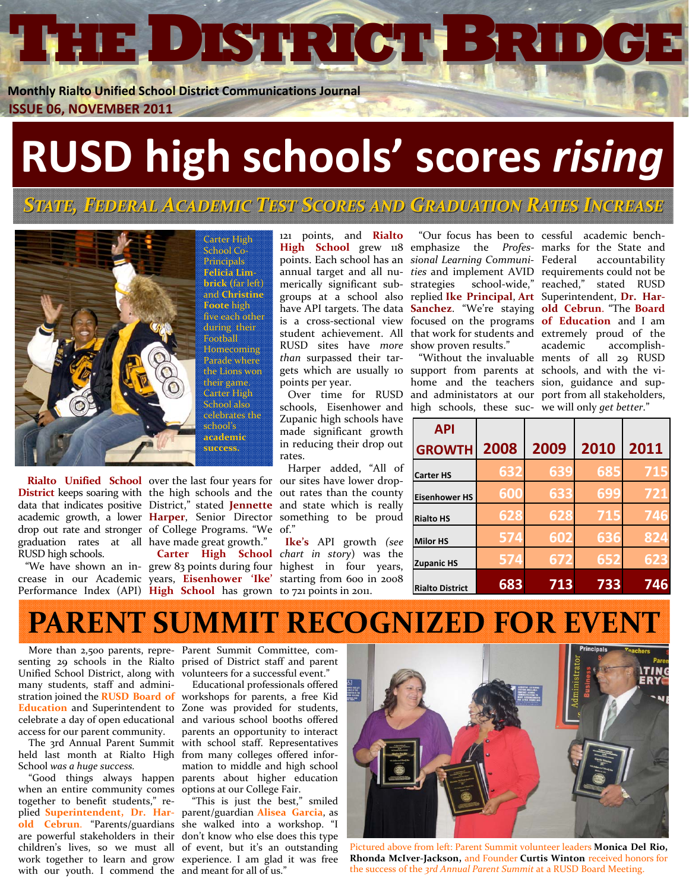**THEDISTRICT ISTRICTBRIDGE**

**Monthly Rialto Unified School District Communications Journal ISSUE 06, NOVEMBER 2011** 

# **RUSD high schools' scores** *rising*

*STATE, FEDERAL ACADEMIC CADEMIC TEST SCORES AND GRADUATION RADUATION RATES INCREASE NCREASE*



Carter High School Co‐ Principals **Felicia Lim‐ brick (**far left) and **Christine Foote** high five each other during their Football **Homecoming** Parade where the Lions won their game. Carter High School also celebrates the school's **academic success.**

**Rialto** Unified School over the last four years for our sites have lower dropgraduation rates at all have made great growth." RUSD high schools.

**District** keeps soaring with the high schools and the out rates than the county data that indicates positive District," stated **Jennette** and state which is really academic growth, a lower **Harper**, Senior Director something to be proud drop out rate and stronger of College Programs. "We of."

Performance Index (API) **High School** has grown to 721 points in 2011.

121 points, and **Rialto** RUSD sites have *more* show proven results." *than* surpassed their tar‐ gets which are usually 10 support from parents at schools, and with the vi‐ points per year.

Zupanic high schools have made significant growth in reducing their drop out rates.

Harper added, "All of

 "We have shown an in‐ grew 83 points during four highest in four years, crease in our Academic years, **Eisenhower 'Ike'** starting from 600 in 2008 **Carter High School** *chart in story*) was the **Ike's** API growth *(see*

**High School** grew 118 emphasize the *Profes‐* marks for the State and points. Each school has an *sional Learning Communi‐* Federal accountability annual target and all nu‐ *ties* and implement AVID requirements could not be merically significant sub‐ strategies school‐wide," reached," stated RUSD groups at a school also replied **Ike Principal**, **Art** Superintendent, **Dr. Har‐** have API targets. The data **Sanchez**. "We're staying **old Cebrun**. "The **Board** is a cross‐sectional view focused on the programs **of Education** and I am student achievement. All that work for students and extremely proud of the "Our focus has been to cessful academic bench‐

Over time for RUSD and administators at our port from all stakeholders, schools, Eisenhower and high schools, these suc‐ we will only *get better*." home and the teachers sion, guidance and sup‐

 "Without the invaluable ments of all 29 RUSD academic accomplish-

| <b>API</b>             |      |      |      |      |
|------------------------|------|------|------|------|
| <b>GROWTH</b>          | 2008 | 2009 | 2010 | 2011 |
| <b>Carter HS</b>       | 632  | 639  | 685  | 715  |
| <b>Eisenhower HS</b>   | 600  | 633  | 699  | 721  |
| <b>Rialto HS</b>       | 628  | 628  | 715  | 746  |
| <b>Milor HS</b>        | 574  | 602  | 636  | 824  |
| <b>Zupanic HS</b>      | 574  | 672  | 652  | 623  |
| <b>Rialto District</b> | 683  | 713  | 733  | 746  |

#### **PARENT SUMMIT RECOGNIZED FOR EVENT**

Unified School District, along with volunteers for a successful event." many students, staff and admini‐ access for our parent community.

held last month at Rialto High from many colleges offered infor‐ School *was a huge success.*

when an entire community comes options at our College Fair. together to benefit students," re‐ plied **Superintendent, Dr. Har‐** parent/guardian **Alisea Garcia**, as **old Cebrun**. "Parents/guardians she walked into a workshop. "I are powerful stakeholders in their don't know who else does this type children's lives, so we must all of event, but it's an outstanding work together to learn and grow experience. I am glad it was free

 senting 29 schools in the Rialto prised of District staff and parent More than 2,500 parents, repre- Parent Summit Committee, com-

stration joined the **RUSD Board of** workshops for parents, a free Kid **Education** and Superintendent to Zone was provided for students, celebrate a day of open educational and various school booths offered The 3rd Annual Parent Summit with school staff. Representatives "Good things always happen parents about higher education Educational professionals offered parents an opportunity to interact mation to middle and high school

with our youth. I commend the and meant for all of us." "This is just the best," smiled



Pictured above from left: Parent Summit volunteer leaders **Monica Del Rio, Rhonda McIver‐Jackson,** and Founder **Curtis Winton** received honors for the success of the *3rd Annual Parent Summit* at a RUSD Board Meeting.